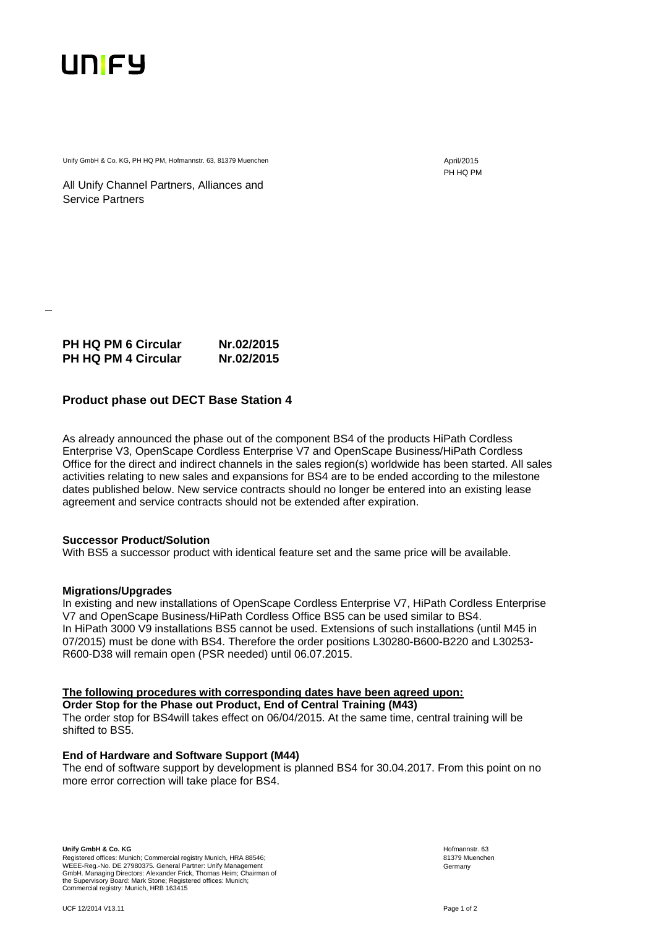

\_

Unify GmbH & Co. KG, PH HQ PM, Hofmannstr. 63, 81379 Muenchen April/2015

PH HQ PM

All Unify Channel Partners, Alliances and Service Partners

| <b>PH HQ PM 6 Circular</b> | Nr.02/2015 |
|----------------------------|------------|
| <b>PH HQ PM 4 Circular</b> | Nr.02/2015 |

## **Product phase out DECT Base Station 4**

As already announced the phase out of the component BS4 of the products HiPath Cordless Enterprise V3, OpenScape Cordless Enterprise V7 and OpenScape Business/HiPath Cordless Office for the direct and indirect channels in the sales region(s) worldwide has been started. All sales activities relating to new sales and expansions for BS4 are to be ended according to the milestone dates published below. New service contracts should no longer be entered into an existing lease agreement and service contracts should not be extended after expiration.

## **Successor Product/Solution**

With BS5 a successor product with identical feature set and the same price will be available.

## **Migrations/Upgrades**

In existing and new installations of OpenScape Cordless Enterprise V7, HiPath Cordless Enterprise V7 and OpenScape Business/HiPath Cordless Office BS5 can be used similar to BS4. In HiPath 3000 V9 installations BS5 cannot be used. Extensions of such installations (until M45 in 07/2015) must be done with BS4. Therefore the order positions L30280-B600-B220 and L30253- R600-D38 will remain open (PSR needed) until 06.07.2015.

## **The following procedures with corresponding dates have been agreed upon:**

**Order Stop for the Phase out Product, End of Central Training (M43)**  The order stop for BS4will takes effect on 06/04/2015. At the same time, central training will be shifted to BS5.

## **End of Hardware and Software Support (M44)**

The end of software support by development is planned BS4 for 30.04.2017. From this point on no more error correction will take place for BS4.

**Unify GmbH & Co. KG**  Registered offices: Munich; Commercial registry Munich, HRA 88546; WEEE-Reg.-No. DE 27980375. General Partner: Unify Management GmbH. Managing Directors: Alexander Frick, Thomas Heim; Chairman of<br>the Supervisory Board: Mark Stone; Registered offices: Munich;<br>Commercial registry: Munich, HRB 163415  Hofmannstr. 63 81379 Muenchen Germany